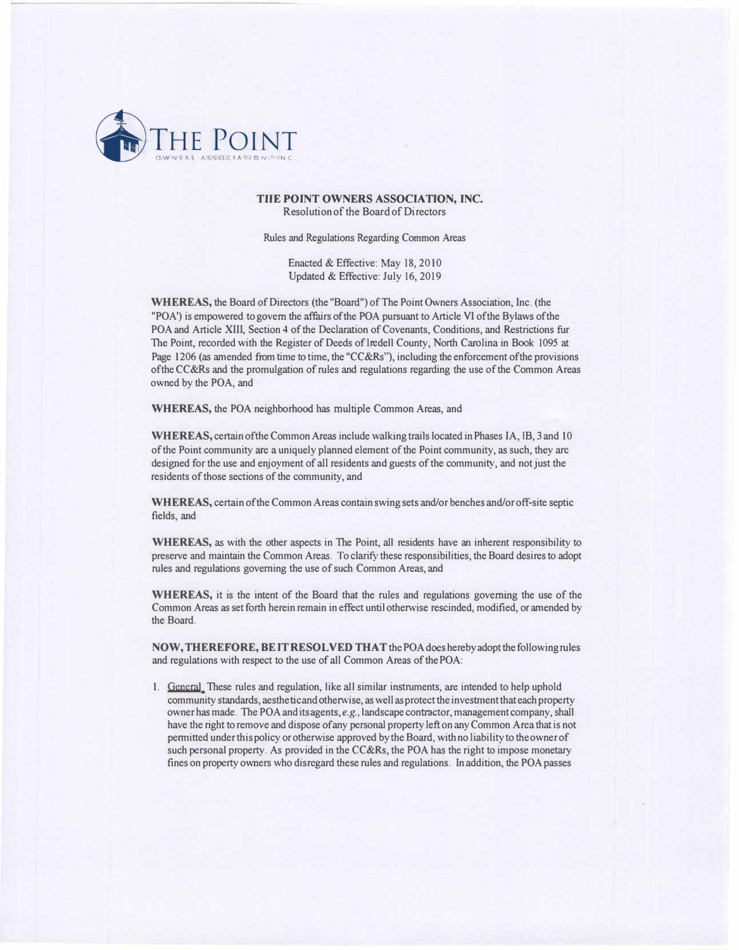

## **TilE POINT OWNERS ASSOCIATION, INC.**  Resolution of the Board of Directors

Rules and Regulations Regarding Common Areas

Enacted & Effective: May 18, 2010 Updated & Effective: July 16, 2019

**WHEREAS,** the Board of Directors (the "Board") of The Point Owners Association, Inc. (the "POA') is empowered to govern the affairs of the POA pursuant to Article VI of the Bylaws of the POA and Article XIII, Section 4 of the Declaration of Covenants, Conditions, and Restrictions fur The Point, recorded with the Register of Deeds of Iredell County, North Carolina in Book 1095 at Page 1206 (as amended from time to time, the "CC&Rs"), including the enforcement of the provisions of the CC&Rs and the promulgation of rules and regulations regarding the use of the Common Areas owned by the POA, and

**WHEREAS,** the POA neighborhood has multiple Common Areas, and

**WHEREAS,** certain ofthe Common Areas include walking trails located in Phases IA, 18, 3 and 10 of the Point community arc a uniquely planned element of the Point community, as such, they arc designed for the use and enjoyment of all residents and guests of the community, and not just the residents of those sections of the community, and

**WHEREAS,** certain of the Common Areas contain swing sets and/or benches and/or off-site septic fields, and

**WHEREAS,** as with the other aspects in The Point, all residents have an inherent responsibility to preserve and maintain the Common Areas. To clarify these responsibilities, the Board desires to adopt rules and regulations governing the use of such Common Areas, and

**WHEREAS,** it is the intent of the Board that the rules and regulations governing the use of the Common Areas as set forth herein remain in effect until othemise rescinded, modified, or amended by the Board.

**NOW, THEREFORE, BE IT RESOLVED THAT** the POA does hereby adopt the following rules and regulations with respect to the use of all Common Areas of the POA:

1. **General** These rules and regulation, like all similar instruments, are intended to help uphold community standards, aesthetic and otherwise, as well as protect the investment that each property owner has made. The POA and its agents, *e.g.,* landscape contractor, management company, shall have the right to remove and dispose of any personal property left on any Common Area that is not permitted under this policy or otherwise approved by the Board, with no liability to the owner of such personal property. As provided in the CC&Rs, the POA has the right to impose monetary fines on property owners who disregard these rules and regulations. In addition, the POA passes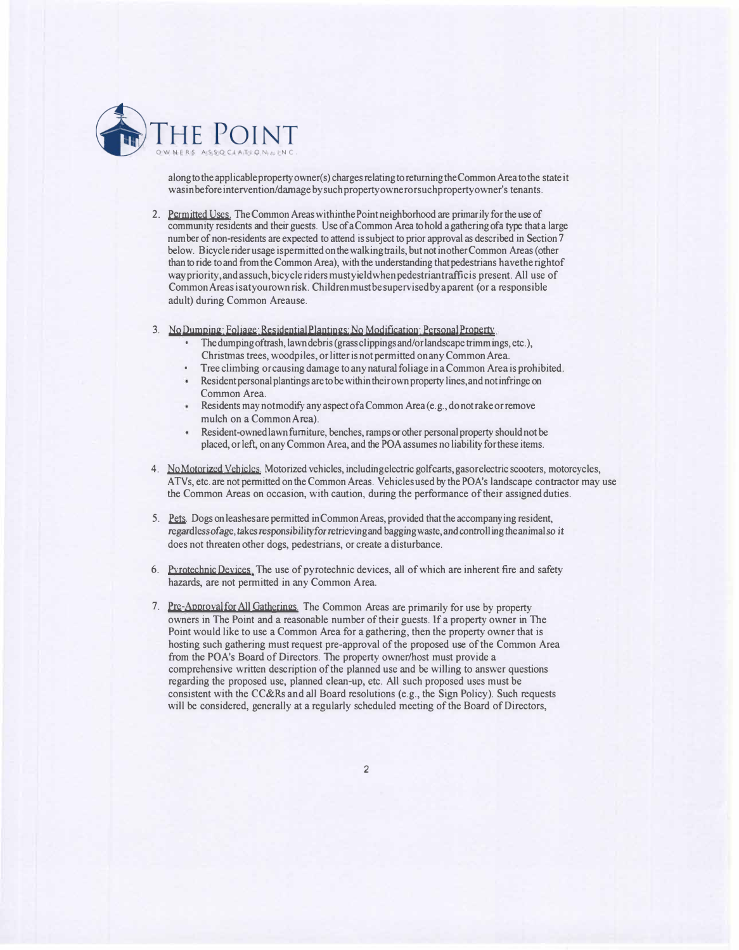

along to the applicable property owner(s) charges relating to returning the Common Area to the state it wasinbeforeintervention/damage bysuch propertyownerorsuch propertyowner's tenants.

2. Permitted Uses. The Common Areas within the Point neighborhood are primarily for the use of community residents and their guests. Use of a Common Area to hold a gathering ofa type that a large num her of non-residents are expected to attend is subject to prior approval as described in Section 7 below. Bicycle rider usage is permitted on the walking trails, but not in other Common Areas (other than to ride to and from the Common Area), with the understanding that pedestrians havetherightof way priority, and assuch, bicycle riders must yield when pedestriant rafficis present. All use of CommonAreasisatyourownrisk. Childrenmustbesupervisedbyaparent (or a responsible adult) during Common Areause.

3. **No Dumning: Foliage: Residential Plantings: No Modification: Personal Property • The dumping of trash, lawn debris (grass clippings and/or landscape trimmings, etc.),** 

- Christmas trees, woodpiles, or litter is not permitted on any Common Area.
- Tree climbing or causing damage to any natural foliage in a Common Area is prohibited.
- Resident personal plantings are to be within their own property lines, and not infringe on Common Area.
- Residents may not modify any aspect of a Common Area (e.g., do not rake or remove mulch on a CommonArea).
- Resident-owned lawn furniture, benches, ramps or other personal property should not be placed, or left, on any Common Area, and the POA assumes no liability for these items.
- 4. NoMotorjzed Vehjcles. Motorized vehicles, includingelectric golf carts, gasorelectric scooters, motorcycles, ATVs, etc. are not permitted on the Common Areas. Vehicles used by the PO A's landscape contractor may use the Common Areas on occasion, with caution, during the performance of their assigned duties.
- 5. Pets. Dogs on leashes are permitted in Common Areas, provided that the accompanying resident, regardlessofage, takes responsibility for retrieving and bagging waste, and controlling the animal so *it* does not threaten other dogs, pedestrians, or create a disturbance.
- 6. Pyrotechnic Devices. The use of pyrotechnic devices, all of which are inherent fire and safety hazards, are not permitted in any Common Area.
- 7. Pre-Approval for All Gatherjngs. The Common Areas are primarily for use by property owners in The Point and a reasonable number of their guests. If a property owner in The Point would like to use a Common Area for a gathering, then the property owner that is hosting such gathering must request pre-approval of the proposed use of the Common Area from the POA's Board of Directors. The property owner/host must provide a comprehensive written description of the planned use and be willing to answer questions regarding the proposed use, planned clean-up, etc. All such proposed uses must be consistent with the CC&Rs and all Board resolutions (e.g., the Sign Policy). Such requests will be considered, generally at a regularly scheduled meeting of the Board of Directors,